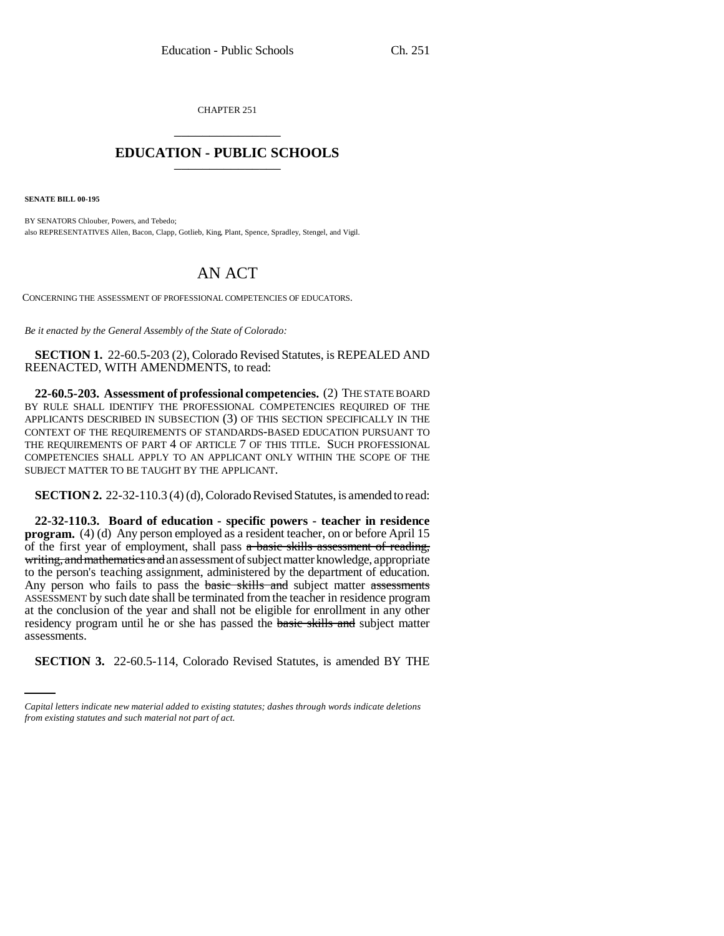CHAPTER 251 \_\_\_\_\_\_\_\_\_\_\_\_\_\_\_

## **EDUCATION - PUBLIC SCHOOLS** \_\_\_\_\_\_\_\_\_\_\_\_\_\_\_

**SENATE BILL 00-195** 

BY SENATORS Chlouber, Powers, and Tebedo; also REPRESENTATIVES Allen, Bacon, Clapp, Gotlieb, King, Plant, Spence, Spradley, Stengel, and Vigil.

## AN ACT

CONCERNING THE ASSESSMENT OF PROFESSIONAL COMPETENCIES OF EDUCATORS.

*Be it enacted by the General Assembly of the State of Colorado:*

**SECTION 1.** 22-60.5-203 (2), Colorado Revised Statutes, is REPEALED AND REENACTED, WITH AMENDMENTS, to read:

**22-60.5-203. Assessment of professional competencies.** (2) THE STATE BOARD BY RULE SHALL IDENTIFY THE PROFESSIONAL COMPETENCIES REQUIRED OF THE APPLICANTS DESCRIBED IN SUBSECTION (3) OF THIS SECTION SPECIFICALLY IN THE CONTEXT OF THE REQUIREMENTS OF STANDARDS-BASED EDUCATION PURSUANT TO THE REQUIREMENTS OF PART 4 OF ARTICLE 7 OF THIS TITLE. SUCH PROFESSIONAL COMPETENCIES SHALL APPLY TO AN APPLICANT ONLY WITHIN THE SCOPE OF THE SUBJECT MATTER TO BE TAUGHT BY THE APPLICANT.

**SECTION 2.** 22-32-110.3 (4) (d), Colorado Revised Statutes, is amended to read:

assessments. **22-32-110.3. Board of education - specific powers - teacher in residence program.** (4) (d) Any person employed as a resident teacher, on or before April 15 of the first year of employment, shall pass a basic skills assessment of reading, writing, and mathematics and an assessment of subject matter knowledge, appropriate to the person's teaching assignment, administered by the department of education. Any person who fails to pass the **basic skills and** subject matter assessments ASSESSMENT by such date shall be terminated from the teacher in residence program at the conclusion of the year and shall not be eligible for enrollment in any other residency program until he or she has passed the **basic skills and** subject matter

**SECTION 3.** 22-60.5-114, Colorado Revised Statutes, is amended BY THE

*Capital letters indicate new material added to existing statutes; dashes through words indicate deletions from existing statutes and such material not part of act.*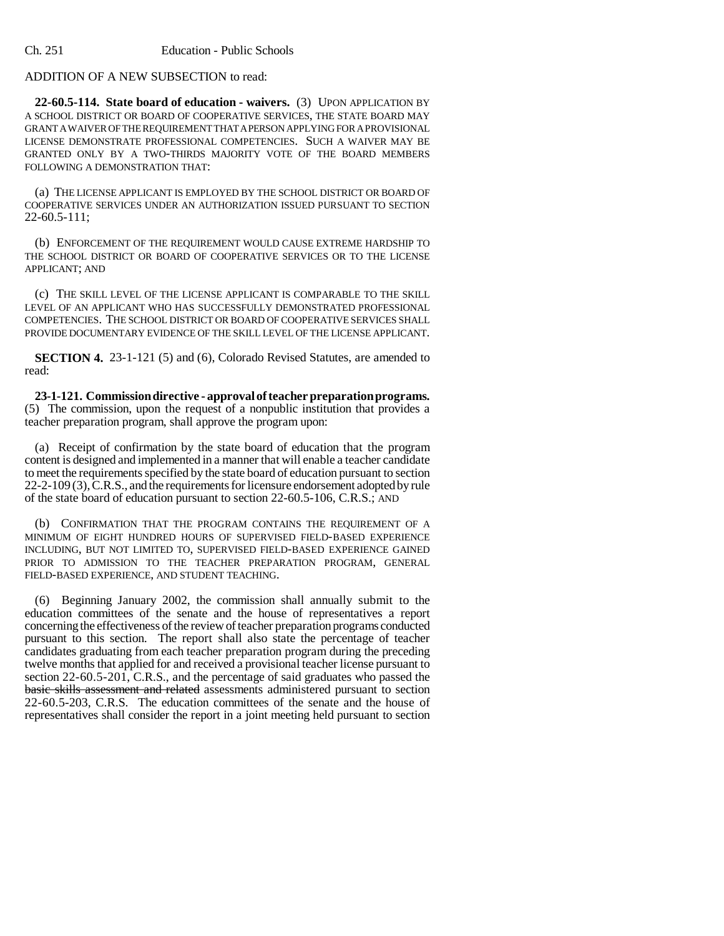## ADDITION OF A NEW SUBSECTION to read:

**22-60.5-114. State board of education - waivers.** (3) UPON APPLICATION BY A SCHOOL DISTRICT OR BOARD OF COOPERATIVE SERVICES, THE STATE BOARD MAY GRANT A WAIVER OF THE REQUIREMENT THAT A PERSON APPLYING FOR A PROVISIONAL LICENSE DEMONSTRATE PROFESSIONAL COMPETENCIES. SUCH A WAIVER MAY BE GRANTED ONLY BY A TWO-THIRDS MAJORITY VOTE OF THE BOARD MEMBERS FOLLOWING A DEMONSTRATION THAT:

(a) THE LICENSE APPLICANT IS EMPLOYED BY THE SCHOOL DISTRICT OR BOARD OF COOPERATIVE SERVICES UNDER AN AUTHORIZATION ISSUED PURSUANT TO SECTION 22-60.5-111;

(b) ENFORCEMENT OF THE REQUIREMENT WOULD CAUSE EXTREME HARDSHIP TO THE SCHOOL DISTRICT OR BOARD OF COOPERATIVE SERVICES OR TO THE LICENSE APPLICANT; AND

(c) THE SKILL LEVEL OF THE LICENSE APPLICANT IS COMPARABLE TO THE SKILL LEVEL OF AN APPLICANT WHO HAS SUCCESSFULLY DEMONSTRATED PROFESSIONAL COMPETENCIES. THE SCHOOL DISTRICT OR BOARD OF COOPERATIVE SERVICES SHALL PROVIDE DOCUMENTARY EVIDENCE OF THE SKILL LEVEL OF THE LICENSE APPLICANT.

**SECTION 4.** 23-1-121 (5) and (6), Colorado Revised Statutes, are amended to read:

**23-1-121. Commission directive - approval of teacher preparation programs.** (5) The commission, upon the request of a nonpublic institution that provides a teacher preparation program, shall approve the program upon:

(a) Receipt of confirmation by the state board of education that the program content is designed and implemented in a manner that will enable a teacher candidate to meet the requirements specified by the state board of education pursuant to section 22-2-109 (3), C.R.S., and the requirements for licensure endorsement adopted by rule of the state board of education pursuant to section 22-60.5-106, C.R.S.; AND

(b) CONFIRMATION THAT THE PROGRAM CONTAINS THE REQUIREMENT OF A MINIMUM OF EIGHT HUNDRED HOURS OF SUPERVISED FIELD-BASED EXPERIENCE INCLUDING, BUT NOT LIMITED TO, SUPERVISED FIELD-BASED EXPERIENCE GAINED PRIOR TO ADMISSION TO THE TEACHER PREPARATION PROGRAM, GENERAL FIELD-BASED EXPERIENCE, AND STUDENT TEACHING.

(6) Beginning January 2002, the commission shall annually submit to the education committees of the senate and the house of representatives a report concerning the effectiveness of the review of teacher preparation programs conducted pursuant to this section. The report shall also state the percentage of teacher candidates graduating from each teacher preparation program during the preceding twelve months that applied for and received a provisional teacher license pursuant to section 22-60.5-201, C.R.S., and the percentage of said graduates who passed the basic skills assessment and related assessments administered pursuant to section 22-60.5-203, C.R.S. The education committees of the senate and the house of representatives shall consider the report in a joint meeting held pursuant to section